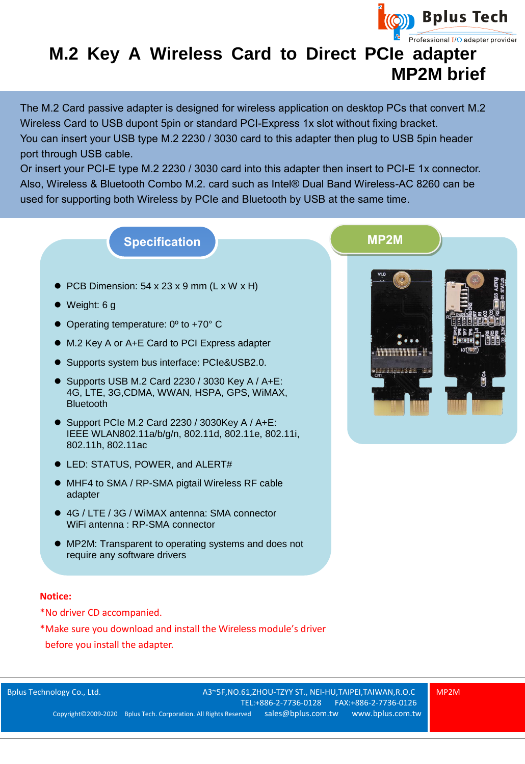

## **M.2 Key A Wireless Card to Direct PCIe adapter MP2M brief**

The M.2 Card passive adapter is designed for wireless application on desktop PCs that convert M.2 Wireless Card to USB dupont 5pin or standard PCI-Express 1x slot without fixing bracket. You can insert your USB type M.2 2230 / 3030 card to this adapter then plug to USB 5pin header port through USB cable.

Or insert your PCI-E type M.2 2230 / 3030 card into this adapter then insert to PCI-E 1x connector. Also, Wireless & Bluetooth Combo M.2. card such as Intel® Dual Band Wireless-AC 8260 can be used for supporting both Wireless by PCIe and Bluetooth by USB at the same time.

## **Specification MP2M**

- $\bullet$  PCB Dimension: 54 x 23 x 9 mm (L x W x H)
- Weight: 6 g
- Operating temperature: 0<sup>o</sup> to +70<sup>o</sup> C
- M.2 Key A or A+E Card to PCI Express adapter
- Supports system bus interface: PCIe&USB2.0.
- Supports USB M.2 Card 2230 / 3030 Key A / A+E: 4G, LTE, 3G,CDMA, WWAN, HSPA, GPS, WiMAX, **Bluetooth**
- Support PCIe M.2 Card 2230 / 3030Key A / A+E: IEEE WLAN802.11a/b/g/n, 802.11d, 802.11e, 802.11i, 802.11h, 802.11ac
- LED: STATUS, POWER, and ALERT#
- MHF4 to SMA / RP-SMA pigtail Wireless RF cable adapter
- 4G / LTE / 3G / WiMAX antenna: SMA connector WiFi antenna : RP-SMA connector
- MP2M: Transparent to operating systems and does not require any software drivers

## **Notice:**

- \*No driver CD accompanied.
- \*Make sure you download and install the Wireless module's driver before you install the adapter.



Bplus Technology Co., Ltd. A3~5F,NO.61,ZHOU-TZYY ST., NEI-HU,TAIPEI,TAIWAN,R.O.C [TEL:+886-2-7736-0128](tel:+886-2-7736-0128) FAX:+886-2-7736-0126 Copyright© 2009-2020 Bplus Tech. Corporation. All Rights Reserved [sales@bplus.com.tw](mailto:sales@bplus.com.tw) [www.bplus.com.tw](http://www.bplus.com.tw/) MP2M